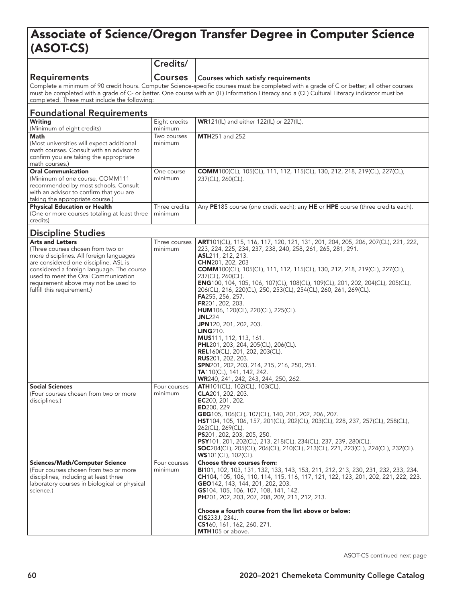## Associate of Science/Oregon Transfer Degree in Computer Science (ASOT-CS)

|                                                                                                                                                                                                                                                                                                                                          | Credits/                 |                                                                                                                                                                                                                                                                                                                                                                                                                                                                                                                                                                                                                                                                                                                                                                                                                                                                                         |  |  |
|------------------------------------------------------------------------------------------------------------------------------------------------------------------------------------------------------------------------------------------------------------------------------------------------------------------------------------------|--------------------------|-----------------------------------------------------------------------------------------------------------------------------------------------------------------------------------------------------------------------------------------------------------------------------------------------------------------------------------------------------------------------------------------------------------------------------------------------------------------------------------------------------------------------------------------------------------------------------------------------------------------------------------------------------------------------------------------------------------------------------------------------------------------------------------------------------------------------------------------------------------------------------------------|--|--|
| <b>Requirements</b>                                                                                                                                                                                                                                                                                                                      | <b>Courses</b>           | Courses which satisfy requirements                                                                                                                                                                                                                                                                                                                                                                                                                                                                                                                                                                                                                                                                                                                                                                                                                                                      |  |  |
| Complete a minimum of 90 credit hours. Computer Science-specific courses must be completed with a grade of C or better; all other courses<br>must be completed with a grade of C- or better. One course with an (IL) Information Literacy and a (CL) Cultural Literacy indicator must be<br>completed. These must include the following: |                          |                                                                                                                                                                                                                                                                                                                                                                                                                                                                                                                                                                                                                                                                                                                                                                                                                                                                                         |  |  |
| <b>Foundational Requirements</b>                                                                                                                                                                                                                                                                                                         |                          |                                                                                                                                                                                                                                                                                                                                                                                                                                                                                                                                                                                                                                                                                                                                                                                                                                                                                         |  |  |
| <b>Writing</b><br>(Minimum of eight credits)                                                                                                                                                                                                                                                                                             | Eight credits<br>minimum | WR121(IL) and either 122(IL) or 227(IL).                                                                                                                                                                                                                                                                                                                                                                                                                                                                                                                                                                                                                                                                                                                                                                                                                                                |  |  |
| Math<br>(Most universities will expect additional<br>math courses. Consult with an advisor to<br>confirm you are taking the appropriate<br>math courses.)                                                                                                                                                                                | Two courses<br>minimum   | <b>MTH</b> 251 and 252                                                                                                                                                                                                                                                                                                                                                                                                                                                                                                                                                                                                                                                                                                                                                                                                                                                                  |  |  |
| <b>Oral Communication</b><br>(Minimum of one course. COMM111<br>recommended by most schools. Consult<br>with an advisor to confirm that you are<br>taking the appropriate course.)                                                                                                                                                       | One course<br>minimum    | COMM100(CL), 105(CL), 111, 112, 115(CL), 130, 212, 218, 219(CL), 227(CL),<br>237(CL), 260(CL).                                                                                                                                                                                                                                                                                                                                                                                                                                                                                                                                                                                                                                                                                                                                                                                          |  |  |
| <b>Physical Education or Health</b><br>(One or more courses totaling at least three<br>credits)                                                                                                                                                                                                                                          | Three credits<br>minimum | Any PE185 course (one credit each); any HE or HPE course (three credits each).                                                                                                                                                                                                                                                                                                                                                                                                                                                                                                                                                                                                                                                                                                                                                                                                          |  |  |
| <b>Discipline Studies</b>                                                                                                                                                                                                                                                                                                                |                          |                                                                                                                                                                                                                                                                                                                                                                                                                                                                                                                                                                                                                                                                                                                                                                                                                                                                                         |  |  |
| <b>Arts and Letters</b><br>(Three courses chosen from two or<br>more disciplines. All foreign languages<br>are considered one discipline. ASL is<br>considered a foreign language. The course<br>used to meet the Oral Communication<br>requirement above may not be used to<br>fulfill this requirement.)                               | Three courses<br>minimum | ART101(CL), 115, 116, 117, 120, 121, 131, 201, 204, 205, 206, 207(CL), 221, 222,<br>223, 224, 225, 234, 237, 238, 240, 258, 261, 265, 281, 291.<br>ASL211, 212, 213.<br>CHN201, 202, 203<br><b>COMM</b> 100(CL), 105(CL), 111, 112, 115(CL), 130, 212, 218, 219(CL), 227(CL),<br>237(CL), 260(CL).<br>ENG100, 104, 105, 106, 107(CL), 108(CL), 109(CL), 201, 202, 204(CL), 205(CL),<br>206(CL), 216, 220(CL), 250, 253(CL), 254(CL), 260, 261, 269(CL).<br><b>FA</b> 255, 256, 257.<br>FR201, 202, 203.<br><b>HUM</b> 106, 120(CL), 220(CL), 225(CL).<br><b>JNL</b> 224<br>JPN120, 201, 202, 203.<br><b>LING210.</b><br>MUS111, 112, 113, 161.<br><b>PHL</b> 201, 203, 204, 205(CL), 206(CL).<br><b>REL</b> 160(CL), 201, 202, 203(CL).<br><b>RUS</b> 201, 202, 203.<br>SPN201, 202, 203, 214, 215, 216, 250, 251.<br>TA110(CL), 141, 142, 242.<br>WR240, 241, 242, 243, 244, 250, 262. |  |  |
| <b>Social Sciences</b><br>(Four courses chosen from two or more<br>disciplines.)                                                                                                                                                                                                                                                         | Four courses<br>minimum  | <b>ATH</b> 101(CL), 102(CL), 103(CL).<br>CLA201, 202, 203.<br>EC200, 201, 202.<br><b>ED</b> 200, 229<br>GEG105, 106(CL), 107(CL), 140, 201, 202, 206, 207.<br><b>HST</b> 104, 105, 106, 157, 201(CL), 202(CL), 203(CL), 228, 237, 257(CL), 258(CL),<br>262(CL), 269(CL).<br>PS201, 202, 203, 205, 250.<br>PSY101, 201, 202(CL), 213, 218(CL), 234(CL), 237, 239, 280(CL).<br><b>SOC</b> 204(CL), 205(CL), 206(CL), 210(CL), 213(CL), 221, 223(CL), 224(CL), 232(CL).<br><b>WS101(CL), 102(CL).</b>                                                                                                                                                                                                                                                                                                                                                                                      |  |  |
| <b>Sciences/Math/Computer Science</b><br>(Four courses chosen from two or more<br>disciplines, including at least three<br>laboratory courses in biological or physical<br>science.)                                                                                                                                                     | Four courses<br>minimum  | Choose three courses from:<br><b>BI</b> 101, 102, 103, 131, 132, 133, 143, 153, 211, 212, 213, 230, 231, 232, 233, 234.<br>CH104, 105, 106, 110, 114, 115, 116, 117, 121, 122, 123, 201, 202, 221, 222, 223.<br>GEO142, 143, 144, 201, 202, 203.<br>GS104, 105, 106, 107, 108, 141, 142.<br>PH201, 202, 203, 207, 208, 209, 211, 212, 213.<br>Choose a fourth course from the list above or below:<br><b>CIS</b> 233J, 234J.<br>CS160, 161, 162, 260, 271.<br>MTH105 or above.                                                                                                                                                                                                                                                                                                                                                                                                          |  |  |

ASOT-CS continued next page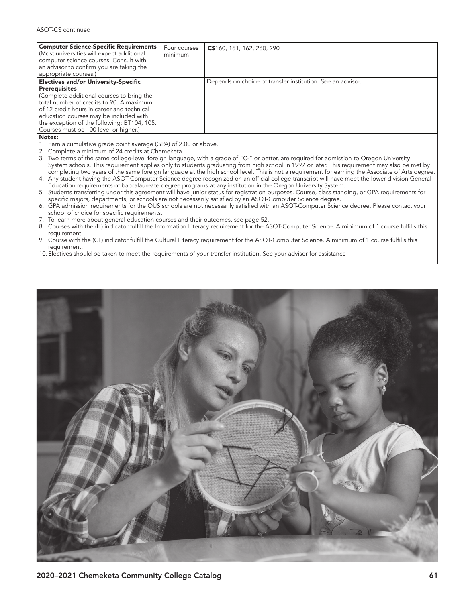| <b>Computer Science-Specific Requirements</b><br>Four courses<br>CS160, 161, 162, 260, 290<br>(Most universities will expect additional<br>minimum<br>computer science courses. Consult with<br>an advisor to confirm you are taking the<br>appropriate courses.)<br><b>Electives and/or University-Specific</b><br>Depends on choice of transfer institution. See an advisor.<br><b>Prerequisites</b><br>(Complete additional courses to bring the<br>total number of credits to 90. A maximum<br>of 12 credit hours in career and technical<br>education courses may be included with<br>the exception of the following: BT104, 105.<br>Courses must be 100 level or higher.) |  |  |
|---------------------------------------------------------------------------------------------------------------------------------------------------------------------------------------------------------------------------------------------------------------------------------------------------------------------------------------------------------------------------------------------------------------------------------------------------------------------------------------------------------------------------------------------------------------------------------------------------------------------------------------------------------------------------------|--|--|
|                                                                                                                                                                                                                                                                                                                                                                                                                                                                                                                                                                                                                                                                                 |  |  |
|                                                                                                                                                                                                                                                                                                                                                                                                                                                                                                                                                                                                                                                                                 |  |  |
|                                                                                                                                                                                                                                                                                                                                                                                                                                                                                                                                                                                                                                                                                 |  |  |
|                                                                                                                                                                                                                                                                                                                                                                                                                                                                                                                                                                                                                                                                                 |  |  |

## Notes:

- 1. Earn a cumulative grade point average (GPA) of 2.00 or above.
- 2. Complete a minimum of 24 credits at Chemeketa.
- 3. Two terms of the same college-level foreign language, with a grade of "C-" or better, are required for admission to Oregon University System schools. This requirement applies only to students graduating from high school in 1997 or later. This requirement may also be met by completing two years of the same foreign language at the high school level. This is not a requirement for earning the Associate of Arts degree.
- 4. Any student having the ASOT-Computer Science degree recognized on an official college transcript will have meet the lower division General Education requirements of baccalaureate degree programs at any institution in the Oregon University System.
- 5. Students transferring under this agreement will have junior status for registration purposes. Course, class standing, or GPA requirements for specific majors, departments, or schools are not necessarily satisfied by an ASOT-Computer Science degree.
- 6. GPA admission requirements for the OUS schools are not necessarily satisfied with an ASOT-Computer Science degree. Please contact your school of choice for specific requirements.
- 7. To learn more about general education courses and their outcomes, see page 52.
- 8. Courses with the (IL) indicator fulfill the Information Literacy requirement for the ASOT-Computer Science. A minimum of 1 course fulfills this requirement.
- 9. Course with the (CL) indicator fulfill the Cultural Literacy requirement for the ASOT-Computer Science. A minimum of 1 course fulfills this requirement.
- 10.Electives should be taken to meet the requirements of your transfer institution. See your advisor for assistance

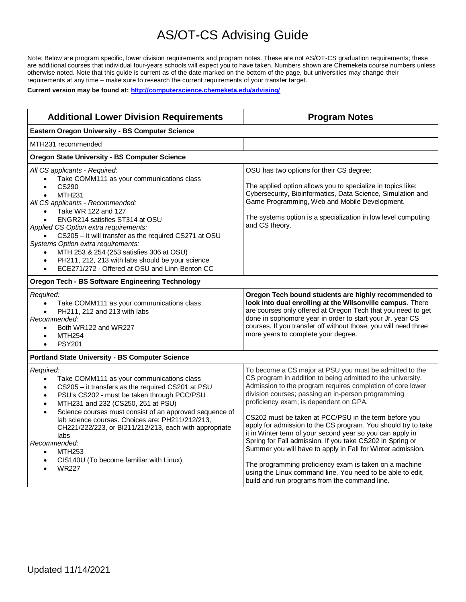## AS/OT-CS Advising Guide

Note: Below are program specific, lower division requirements and program notes. These are not AS/OT-CS graduation requirements; these are additional courses that individual four-years schools will expect you to have taken. Numbers shown are Chemeketa course numbers unless otherwise noted. Note that this guide is current as of the date marked on the bottom of the page, but universities may change their requirements at any time – make sure to research the current requirements of your transfer target.

**Current version may be found at:<http://computerscience.chemeketa.edu/advising/>**

| <b>Additional Lower Division Requirements</b>                                                                                                                                                                                                                                                                                                                                                                                                                                                                                                                                                                    | <b>Program Notes</b>                                                                                                                                                                                                                                                                                                                                                                                                                                                                                                                                                                                                                                                                                                            |  |  |  |  |
|------------------------------------------------------------------------------------------------------------------------------------------------------------------------------------------------------------------------------------------------------------------------------------------------------------------------------------------------------------------------------------------------------------------------------------------------------------------------------------------------------------------------------------------------------------------------------------------------------------------|---------------------------------------------------------------------------------------------------------------------------------------------------------------------------------------------------------------------------------------------------------------------------------------------------------------------------------------------------------------------------------------------------------------------------------------------------------------------------------------------------------------------------------------------------------------------------------------------------------------------------------------------------------------------------------------------------------------------------------|--|--|--|--|
| <b>Eastern Oregon University - BS Computer Science</b>                                                                                                                                                                                                                                                                                                                                                                                                                                                                                                                                                           |                                                                                                                                                                                                                                                                                                                                                                                                                                                                                                                                                                                                                                                                                                                                 |  |  |  |  |
| MTH231 recommended                                                                                                                                                                                                                                                                                                                                                                                                                                                                                                                                                                                               |                                                                                                                                                                                                                                                                                                                                                                                                                                                                                                                                                                                                                                                                                                                                 |  |  |  |  |
| <b>Oregon State University - BS Computer Science</b>                                                                                                                                                                                                                                                                                                                                                                                                                                                                                                                                                             |                                                                                                                                                                                                                                                                                                                                                                                                                                                                                                                                                                                                                                                                                                                                 |  |  |  |  |
| All CS applicants - Required:<br>Take COMM111 as your communications class<br>$\bullet$<br>CS290<br>$\bullet$<br><b>MTH231</b><br>$\bullet$<br>All CS applicants - Recommended:<br>Take WR 122 and 127<br>$\bullet$<br>ENGR214 satisfies ST314 at OSU<br>$\bullet$<br>Applied CS Option extra requirements:<br>CS205 - it will transfer as the required CS271 at OSU<br>$\bullet$<br>Systems Option extra requirements:<br>MTH 253 & 254 (253 satisfies 306 at OSU)<br>$\bullet$<br>PH211, 212, 213 with labs should be your science<br>$\bullet$<br>ECE271/272 - Offered at OSU and Linn-Benton CC<br>$\bullet$ | OSU has two options for their CS degree:<br>The applied option allows you to specialize in topics like:<br>Cybersecurity, Bioinformatics, Data Science, Simulation and<br>Game Programming, Web and Mobile Development.<br>The systems option is a specialization in low level computing<br>and CS theory.                                                                                                                                                                                                                                                                                                                                                                                                                      |  |  |  |  |
| <b>Oregon Tech - BS Software Engineering Technology</b>                                                                                                                                                                                                                                                                                                                                                                                                                                                                                                                                                          |                                                                                                                                                                                                                                                                                                                                                                                                                                                                                                                                                                                                                                                                                                                                 |  |  |  |  |
| Required:<br>Take COMM111 as your communications class<br>$\bullet$<br>PH211, 212 and 213 with labs<br>$\bullet$<br>Recommended:<br>Both WR122 and WR227<br>$\bullet$<br><b>MTH254</b><br>$\bullet$<br><b>PSY201</b><br>$\bullet$                                                                                                                                                                                                                                                                                                                                                                                | Oregon Tech bound students are highly recommended to<br>look into dual enrolling at the Wilsonville campus. There<br>are courses only offered at Oregon Tech that you need to get<br>done in sophomore year in order to start your Jr. year CS<br>courses. If you transfer off without those, you will need three<br>more years to complete your degree.                                                                                                                                                                                                                                                                                                                                                                        |  |  |  |  |
| <b>Portland State University - BS Computer Science</b>                                                                                                                                                                                                                                                                                                                                                                                                                                                                                                                                                           |                                                                                                                                                                                                                                                                                                                                                                                                                                                                                                                                                                                                                                                                                                                                 |  |  |  |  |
| Required:<br>Take COMM111 as your communications class<br>$\bullet$<br>CS205 - it transfers as the required CS201 at PSU<br>$\bullet$<br>PSU's CS202 - must be taken through PCC/PSU<br>$\bullet$<br>MTH231 and 232 (CS250, 251 at PSU)<br>$\bullet$<br>Science courses must consist of an approved sequence of<br>$\bullet$<br>lab science courses. Choices are: PH211/212/213,<br>CH221/222/223, or BI211/212/213, each with appropriate<br>labs<br>Recommended:<br>MTH253<br>$\bullet$<br>CIS140U (To become familiar with Linux)<br>$\bullet$<br><b>WR227</b>                                                | To become a CS major at PSU you must be admitted to the<br>CS program in addition to being admitted to the university.<br>Admission to the program requires completion of core lower<br>division courses; passing an in-person programming<br>proficiency exam; is dependent on GPA.<br>CS202 must be taken at PCC/PSU in the term before you<br>apply for admission to the CS program. You should try to take<br>it in Winter term of your second year so you can apply in<br>Spring for Fall admission. If you take CS202 in Spring or<br>Summer you will have to apply in Fall for Winter admission.<br>The programming proficiency exam is taken on a machine<br>using the Linux command line. You need to be able to edit, |  |  |  |  |